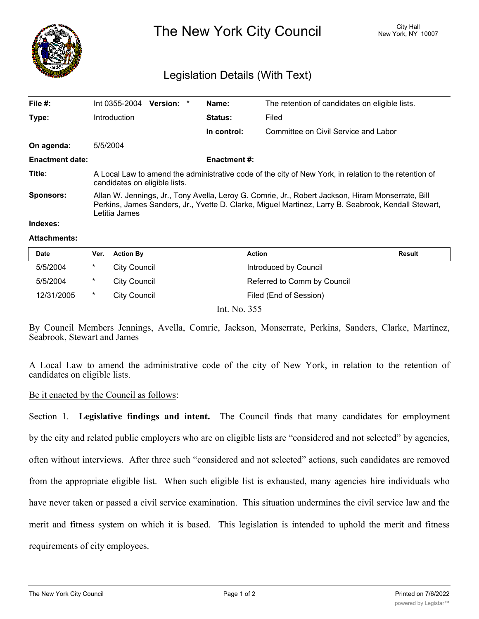

The New York City Council New York, NY 10007

## Legislation Details (With Text)

| File #:                | Int 0355-2004                                                                                                                                                                                                             | Version: * |  | Name:               | The retention of candidates on eligible lists. |  |
|------------------------|---------------------------------------------------------------------------------------------------------------------------------------------------------------------------------------------------------------------------|------------|--|---------------------|------------------------------------------------|--|
| Type:                  | Introduction                                                                                                                                                                                                              |            |  | <b>Status:</b>      | Filed                                          |  |
|                        |                                                                                                                                                                                                                           |            |  | In control:         | Committee on Civil Service and Labor           |  |
| On agenda:             | 5/5/2004                                                                                                                                                                                                                  |            |  |                     |                                                |  |
| <b>Enactment date:</b> |                                                                                                                                                                                                                           |            |  | <b>Enactment #:</b> |                                                |  |
| Title:                 | A Local Law to amend the administrative code of the city of New York, in relation to the retention of<br>candidates on eligible lists.                                                                                    |            |  |                     |                                                |  |
| <b>Sponsors:</b>       | Allan W. Jennings, Jr., Tony Avella, Leroy G. Comrie, Jr., Robert Jackson, Hiram Monserrate, Bill<br>Perkins, James Sanders, Jr., Yvette D. Clarke, Miguel Martinez, Larry B. Seabrook, Kendall Stewart,<br>Letitia James |            |  |                     |                                                |  |
| lndexes:               |                                                                                                                                                                                                                           |            |  |                     |                                                |  |

## **Attachments:**

| <b>Date</b> | Ver.     | <b>Action By</b>    | <b>Action</b>               | <b>Result</b> |
|-------------|----------|---------------------|-----------------------------|---------------|
| 5/5/2004    | $\ast$   | <b>City Council</b> | Introduced by Council       |               |
| 5/5/2004    | $^\star$ | City Council        | Referred to Comm by Council |               |
| 12/31/2005  | $\star$  | <b>City Council</b> | Filed (End of Session)      |               |
|             |          |                     | Int. No. 355                |               |

By Council Members Jennings, Avella, Comrie, Jackson, Monserrate, Perkins, Sanders, Clarke, Martinez, Seabrook, Stewart and James

A Local Law to amend the administrative code of the city of New York, in relation to the retention of candidates on eligible lists.

## Be it enacted by the Council as follows:

Section 1. **Legislative findings and intent.** The Council finds that many candidates for employment by the city and related public employers who are on eligible lists are "considered and not selected" by agencies, often without interviews. After three such "considered and not selected" actions, such candidates are removed from the appropriate eligible list. When such eligible list is exhausted, many agencies hire individuals who have never taken or passed a civil service examination. This situation undermines the civil service law and the merit and fitness system on which it is based. This legislation is intended to uphold the merit and fitness requirements of city employees.